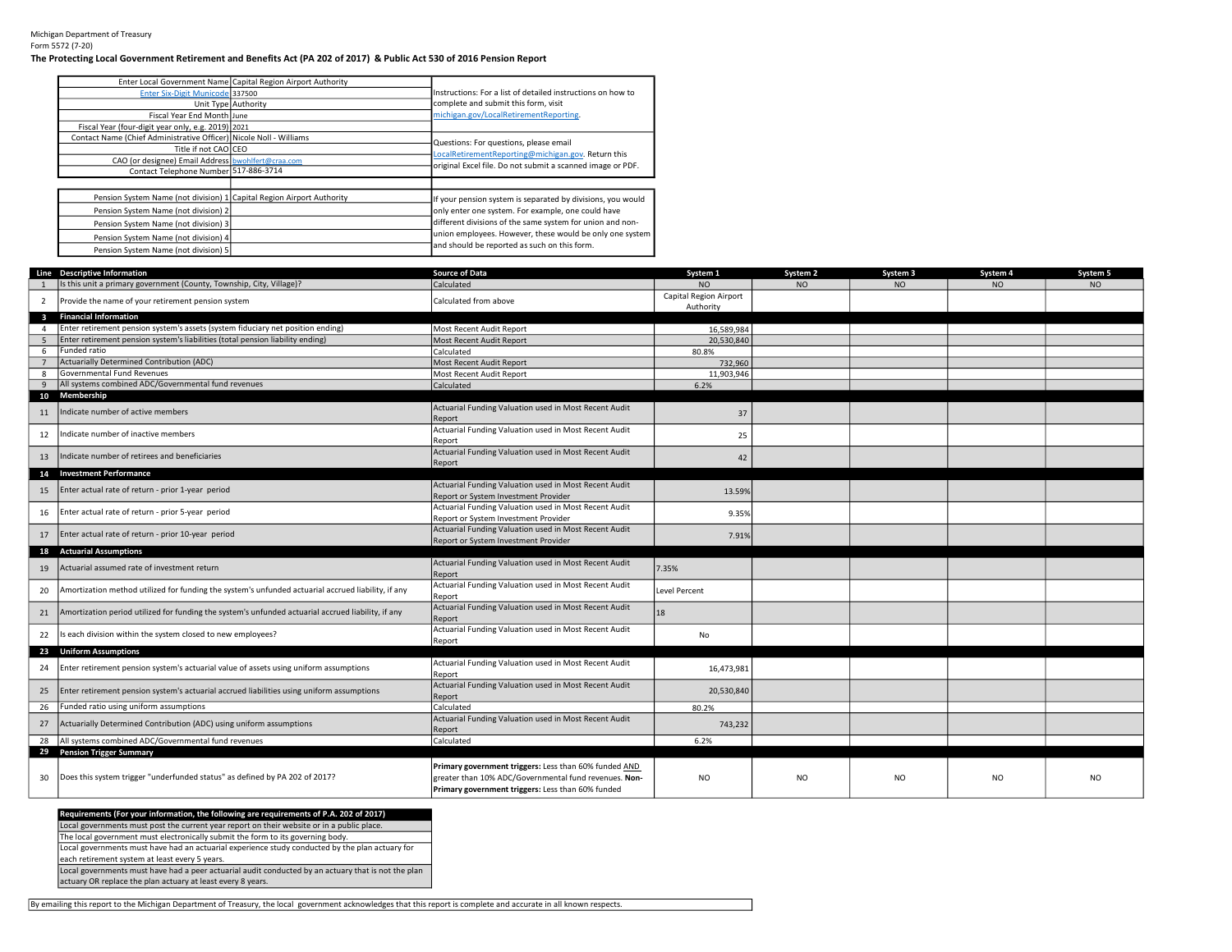## The Protecting Local Government Retirement and Benefits Act (PA 202 of 2017) & Public Act 530 of 2016 Pension Report

|                                                                       | Enter Local Government Name Capital Region Airport Authority |                                                             |
|-----------------------------------------------------------------------|--------------------------------------------------------------|-------------------------------------------------------------|
| Enter Six-Digit Municode 337500                                       |                                                              | Instructions: For a list of detailed instructions on how to |
|                                                                       | Unit Type Authority                                          | complete and submit this form, visit                        |
| Fiscal Year End Month June                                            |                                                              | michigan.gov/LocalRetirementReporting.                      |
| Fiscal Year (four-digit year only, e.g. 2019) 2021                    |                                                              |                                                             |
| Contact Name (Chief Administrative Officer) Nicole Noll - Williams    |                                                              | Questions: For questions, please email                      |
| Title if not CAO CEO                                                  |                                                              | LocalRetirementReporting@michigan.gov. Return this          |
| CAO (or designee) Email Address bwohlfert@craa.com                    |                                                              |                                                             |
| Contact Telephone Number 517-886-3714                                 |                                                              | original Excel file. Do not submit a scanned image or PDF.  |
|                                                                       |                                                              |                                                             |
| Pension System Name (not division) 1 Capital Region Airport Authority |                                                              | If your pension system is separated by divisions, you would |
| Pension System Name (not division) 2                                  |                                                              | only enter one system. For example, one could have          |
| Pension System Name (not division) 3                                  |                                                              | different divisions of the same system for union and non-   |
| Pension System Name (not division) 4                                  |                                                              | union employees. However, these would be only one system    |
| Pension System Name (not division) 5                                  |                                                              | and should be reported as such on this form.                |

|                | Line Descriptive Information                                                                       | <b>Source of Data</b>                                                                                                                                               | System 1                            | System 2       | System 3  | System 4  | System 5       |
|----------------|----------------------------------------------------------------------------------------------------|---------------------------------------------------------------------------------------------------------------------------------------------------------------------|-------------------------------------|----------------|-----------|-----------|----------------|
|                | Is this unit a primary government (County, Township, City, Village)?                               | Calculated                                                                                                                                                          | <b>NO</b>                           | <b>NO</b>      | <b>NO</b> | <b>NO</b> | <b>NO</b>      |
| $\overline{2}$ | Provide the name of your retirement pension system                                                 | Calculated from above                                                                                                                                               | Capital Region Airport<br>Authority |                |           |           |                |
| $\mathbf{3}$   | <b>Financial Information</b>                                                                       |                                                                                                                                                                     |                                     |                |           |           |                |
| $\overline{a}$ | Enter retirement pension system's assets (system fiduciary net position ending)                    | Most Recent Audit Report                                                                                                                                            | 16,589,984                          |                |           |           |                |
| 5              | Enter retirement pension system's liabilities (total pension liability ending)                     | Most Recent Audit Report                                                                                                                                            | 20,530,840                          |                |           |           |                |
| 6              | Funded ratio                                                                                       | Calculated                                                                                                                                                          | 80.8%                               |                |           |           |                |
| $\overline{7}$ | Actuarially Determined Contribution (ADC)                                                          | Most Recent Audit Report                                                                                                                                            | 732,960                             |                |           |           |                |
| 8              | Governmental Fund Revenues                                                                         | Most Recent Audit Report                                                                                                                                            | 11,903,946                          |                |           |           |                |
| 9              | All systems combined ADC/Governmental fund revenues                                                | Calculated                                                                                                                                                          | 6.2%                                |                |           |           |                |
| 11             | 10 Membership<br>Indicate number of active members                                                 | Actuarial Funding Valuation used in Most Recent Audit<br>Report                                                                                                     | 37                                  |                |           |           |                |
| 12             | Indicate number of inactive members                                                                | Actuarial Funding Valuation used in Most Recent Audit<br>Report                                                                                                     | 25                                  |                |           |           |                |
| 13             | Indicate number of retirees and beneficiaries                                                      | Actuarial Funding Valuation used in Most Recent Audit<br>Report                                                                                                     | 42                                  |                |           |           |                |
|                | 14 Investment Performance                                                                          |                                                                                                                                                                     |                                     |                |           |           |                |
| 15             | Enter actual rate of return - prior 1-year period                                                  | Actuarial Funding Valuation used in Most Recent Audit<br>Report or System Investment Provider                                                                       | 13.59%                              |                |           |           |                |
| 16             | Enter actual rate of return - prior 5-year period                                                  | Actuarial Funding Valuation used in Most Recent Audit<br>Report or System Investment Provider                                                                       | 9.35%                               |                |           |           |                |
| 17             | Enter actual rate of return - prior 10-year period                                                 | Actuarial Funding Valuation used in Most Recent Audit<br>Report or System Investment Provider                                                                       | 7.91%                               |                |           |           |                |
|                | 18 Actuarial Assumptions                                                                           |                                                                                                                                                                     |                                     |                |           |           |                |
| 19             | Actuarial assumed rate of investment return                                                        | Actuarial Funding Valuation used in Most Recent Audit<br>Report                                                                                                     | 7.35%                               |                |           |           |                |
| 20             | Amortization method utilized for funding the system's unfunded actuarial accrued liability, if any | Actuarial Funding Valuation used in Most Recent Audit<br>Report                                                                                                     | <b>Level Percent</b>                |                |           |           |                |
| 21             | Amortization period utilized for funding the system's unfunded actuarial accrued liability, if any | Actuarial Funding Valuation used in Most Recent Audit<br>Report                                                                                                     | 18                                  |                |           |           |                |
| 22             | Is each division within the system closed to new employees?                                        | Actuarial Funding Valuation used in Most Recent Audit<br>Report                                                                                                     | No                                  |                |           |           |                |
|                | 23 Uniform Assumptions                                                                             |                                                                                                                                                                     |                                     |                |           |           |                |
| 24             | Enter retirement pension system's actuarial value of assets using uniform assumptions              | Actuarial Funding Valuation used in Most Recent Audit<br>Report                                                                                                     | 16,473,981                          |                |           |           |                |
| 25             | Enter retirement pension system's actuarial accrued liabilities using uniform assumptions          | Actuarial Funding Valuation used in Most Recent Audit<br>Report                                                                                                     | 20,530,840                          |                |           |           |                |
| 26             | Funded ratio using uniform assumptions                                                             | Calculated                                                                                                                                                          | 80.2%                               |                |           |           |                |
| 27             | Actuarially Determined Contribution (ADC) using uniform assumptions                                | Actuarial Funding Valuation used in Most Recent Audit<br>Report                                                                                                     | 743,232                             |                |           |           |                |
| 28             | All systems combined ADC/Governmental fund revenues                                                | Calculated                                                                                                                                                          | 6.2%                                |                |           |           |                |
|                | 29 Pension Trigger Summary                                                                         |                                                                                                                                                                     |                                     |                |           |           |                |
| 30             | Does this system trigger "underfunded status" as defined by PA 202 of 2017?                        | Primary government triggers: Less than 60% funded AND<br>greater than 10% ADC/Governmental fund revenues. Non-<br>Primary government triggers: Less than 60% funded | <b>NO</b>                           | N <sub>O</sub> | <b>NO</b> | <b>NO</b> | N <sub>O</sub> |

## Requirements (For your information, the following are requirements of P.A. 202 of 2017)

Local governments must post the current year report on their website or in a public place. The local government must electronically submit the form to its governing body.

Local governments must have had an actuarial experience study conducted by the plan actuary for

each retirement system at least every 5 years.

Local governments must have had a peer actuarial audit conducted by an actuary that is not the plan

actuary OR replace the plan actuary at least every 8 years.

By emailing this report to the Michigan Department of Treasury, the local government acknowledges that this report is complete and accurate in all known respects.